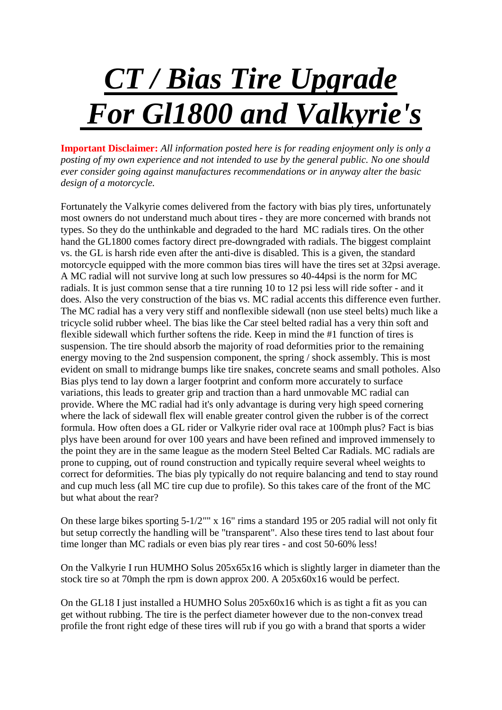## *CT / Bias Tire Upgrade For Gl1800 and Valkyrie's*

**Important Disclaimer:** *All information posted here is for reading enjoyment only is only a posting of my own experience and not intended to use by the general public. No one should ever consider going against manufactures recommendations or in anyway alter the basic design of a motorcycle.*

Fortunately the Valkyrie comes delivered from the factory with bias ply tires, unfortunately most owners do not understand much about tires - they are more concerned with brands not types. So they do the unthinkable and degraded to the hard MC radials tires. On the other hand the GL1800 comes factory direct pre-downgraded with radials. The biggest complaint vs. the GL is harsh ride even after the anti-dive is disabled. This is a given, the standard motorcycle equipped with the more common bias tires will have the tires set at 32psi average. A MC radial will not survive long at such low pressures so 40-44psi is the norm for MC radials. It is just common sense that a tire running 10 to 12 psi less will ride softer - and it does. Also the very construction of the bias vs. MC radial accents this difference even further. The MC radial has a very very stiff and nonflexible sidewall (non use steel belts) much like a tricycle solid rubber wheel. The bias like the Car steel belted radial has a very thin soft and flexible sidewall which further softens the ride. Keep in mind the #1 function of tires is suspension. The tire should absorb the majority of road deformities prior to the remaining energy moving to the 2nd suspension component, the spring / shock assembly. This is most evident on small to midrange bumps like tire snakes, concrete seams and small potholes. Also Bias plys tend to lay down a larger footprint and conform more accurately to surface variations, this leads to greater grip and traction than a hard unmovable MC radial can provide. Where the MC radial had it's only advantage is during very high speed cornering where the lack of sidewall flex will enable greater control given the rubber is of the correct formula. How often does a GL rider or Valkyrie rider oval race at 100mph plus? Fact is bias plys have been around for over 100 years and have been refined and improved immensely to the point they are in the same league as the modern Steel Belted Car Radials. MC radials are prone to cupping, out of round construction and typically require several wheel weights to correct for deformities. The bias ply typically do not require balancing and tend to stay round and cup much less (all MC tire cup due to profile). So this takes care of the front of the MC but what about the rear?

On these large bikes sporting 5-1/2"" x 16" rims a standard 195 or 205 radial will not only fit but setup correctly the handling will be "transparent". Also these tires tend to last about four time longer than MC radials or even bias ply rear tires - and cost 50-60% less!

On the Valkyrie I run HUMHO Solus 205x65x16 which is slightly larger in diameter than the stock tire so at 70mph the rpm is down approx 200. A 205x60x16 would be perfect.

On the GL18 I just installed a HUMHO Solus 205x60x16 which is as tight a fit as you can get without rubbing. The tire is the perfect diameter however due to the non-convex tread profile the front right edge of these tires will rub if you go with a brand that sports a wider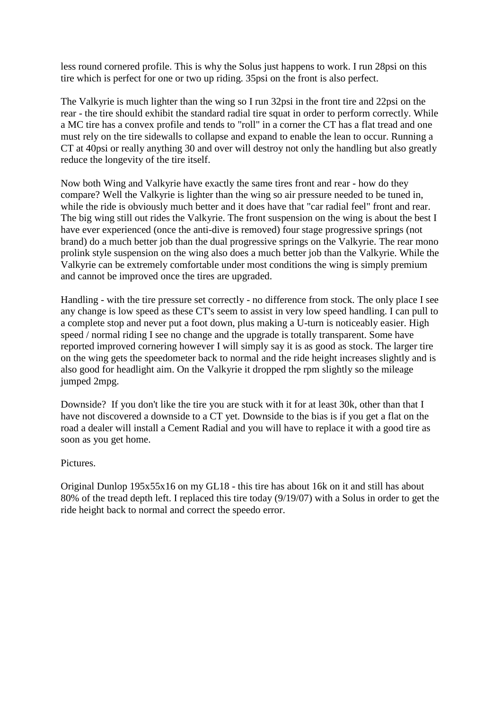less round cornered profile. This is why the Solus just happens to work. I run 28psi on this tire which is perfect for one or two up riding. 35psi on the front is also perfect.

The Valkyrie is much lighter than the wing so I run 32psi in the front tire and 22psi on the rear - the tire should exhibit the standard radial tire squat in order to perform correctly. While a MC tire has a convex profile and tends to "roll" in a corner the CT has a flat tread and one must rely on the tire sidewalls to collapse and expand to enable the lean to occur. Running a CT at 40psi or really anything 30 and over will destroy not only the handling but also greatly reduce the longevity of the tire itself.

Now both Wing and Valkyrie have exactly the same tires front and rear - how do they compare? Well the Valkyrie is lighter than the wing so air pressure needed to be tuned in, while the ride is obviously much better and it does have that "car radial feel" front and rear. The big wing still out rides the Valkyrie. The front suspension on the wing is about the best I have ever experienced (once the anti-dive is removed) four stage progressive springs (not brand) do a much better job than the dual progressive springs on the Valkyrie. The rear mono prolink style suspension on the wing also does a much better job than the Valkyrie. While the Valkyrie can be extremely comfortable under most conditions the wing is simply premium and cannot be improved once the tires are upgraded.

Handling - with the tire pressure set correctly - no difference from stock. The only place I see any change is low speed as these CT's seem to assist in very low speed handling. I can pull to a complete stop and never put a foot down, plus making a U-turn is noticeably easier. High speed / normal riding I see no change and the upgrade is totally transparent. Some have reported improved cornering however I will simply say it is as good as stock. The larger tire on the wing gets the speedometer back to normal and the ride height increases slightly and is also good for headlight aim. On the Valkyrie it dropped the rpm slightly so the mileage jumped 2mpg.

Downside? If you don't like the tire you are stuck with it for at least 30k, other than that I have not discovered a downside to a CT yet. Downside to the bias is if you get a flat on the road a dealer will install a Cement Radial and you will have to replace it with a good tire as soon as you get home.

## Pictures.

Original Dunlop 195x55x16 on my GL18 - this tire has about 16k on it and still has about 80% of the tread depth left. I replaced this tire today (9/19/07) with a Solus in order to get the ride height back to normal and correct the speedo error.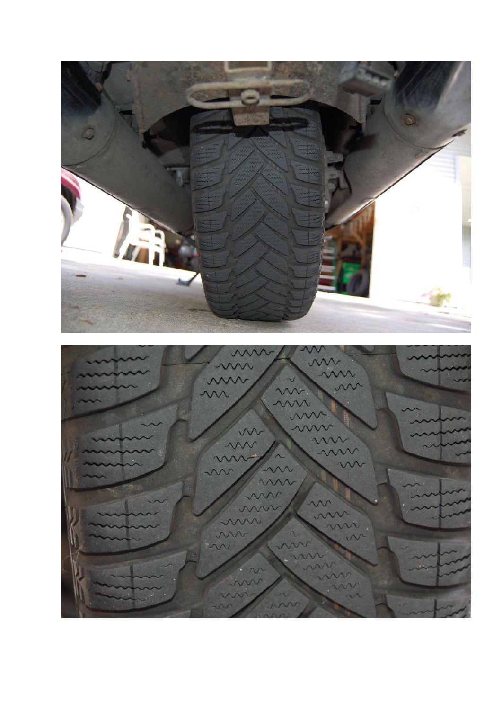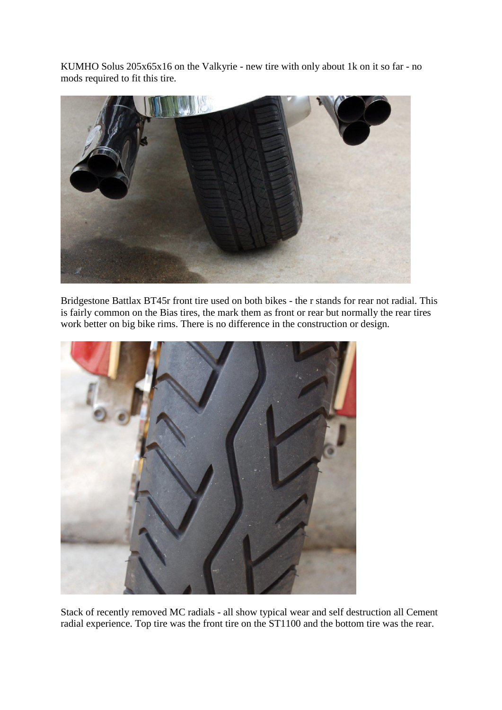KUMHO Solus 205x65x16 on the Valkyrie - new tire with only about 1k on it so far - no mods required to fit this tire.



Bridgestone Battlax BT45r front tire used on both bikes - the r stands for rear not radial. This is fairly common on the Bias tires, the mark them as front or rear but normally the rear tires work better on big bike rims. There is no difference in the construction or design.



Stack of recently removed MC radials - all show typical wear and self destruction all Cement radial experience. Top tire was the front tire on the ST1100 and the bottom tire was the rear.